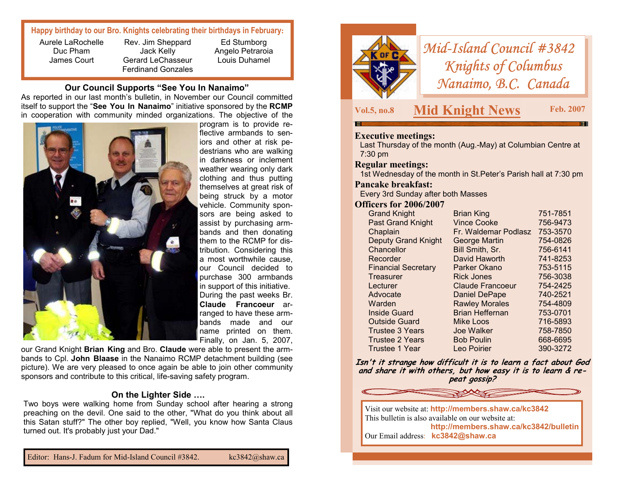# **Happy birthday to our Bro. Knights celebrating their birthdays in February:**

Aurele LaRochelle Duc Pham James Court

Rev. Jim Sheppard Jack Kelly Gerard LeChasseur Ferdinand Gonzales

Ed Stumborg Angelo Petraroia Louis Duhamel

#### **Our Council Supports "See You In Nanaimo"**

As reported in our last month's bulletin, in November our Council committed itself to support the "**See You In Nanaimo**" initiative sponsored by the **RCMP** in cooperation with community minded organizations. The objective of the



program is to provide reflective armbands to seniors and other at risk pedestrians who are walking in darkness or inclement weather wearing only dark clothing and thus putting themselves at great risk of being struck by a motor vehicle. Community sponsors are being asked to assist by purchasing armbands and then donating them to the RCMP for distribution. Considering this a most worthwhile cause, our Council decided to purchase 300 armbands in support of this initiative. During the past weeks Br. **Claude Francoeur** arranged to have these armbands made and our name printed on them. Finally, on Jan. 5, 2007,

our Grand Knight **Brian King** and Bro. **Claude** were able to present the armbands to Cpl. **John Blaase** in the Nanaimo RCMP detachment building (see picture). We are very pleased to once again be able to join other community sponsors and contribute to this critical, life-saving safety program.

### **On the Lighter Side ….**

Two boys were walking home from Sunday school after hearing a strong preaching on the devil. One said to the other, "What do you think about all this Satan stuff?" The other boy replied, "Well, you know how Santa Claus turned out. It's probably just your Dad."



# *Mid-Island Council #3842 Knights of Columbus Nanaimo, B.C. Canada*

# **Vol.5, no.8 Mid Knight News Feb. 2007**

# **Executive meetings:**

Last Thursday of the month (Aug.-May) at Columbian Centre at 7:30 pm

## **Regular meetings:**

1st Wednesday of the month in St.Peter's Parish hall at 7:30 pm

#### **Pancake breakfast:**

Every 3rd Sunday after both Masses

#### **Officers for 2006/2007**

| <b>Grand Knight</b>        | <b>Brian King</b>       | 751-7851 |
|----------------------------|-------------------------|----------|
| <b>Past Grand Knight</b>   | <b>Vince Cooke</b>      | 756-9473 |
| Chaplain                   | Fr. Waldemar Podlasz    | 753-3570 |
| <b>Deputy Grand Knight</b> | <b>George Martin</b>    | 754-0826 |
| Chancellor                 | Bill Smith, Sr.         | 756-6141 |
| Recorder                   | David Haworth           | 741-8253 |
| <b>Financial Secretary</b> | Parker Okano            | 753-5115 |
| Treasurer                  | <b>Rick Jones</b>       | 756-3038 |
| Lecturer                   | <b>Claude Francoeur</b> | 754-2425 |
| Advocate                   | <b>Daniel DePape</b>    | 740-2521 |
| Warden                     | <b>Rawley Morales</b>   | 754-4809 |
| Inside Guard               | <b>Brian Heffernan</b>  | 753-0701 |
| <b>Outside Guard</b>       | Mike Loos               | 716-5893 |
| <b>Trustee 3 Years</b>     | Joe Walker              | 758-7850 |
| <b>Trustee 2 Years</b>     | <b>Bob Poulin</b>       | 668-6695 |
| Trustee 1 Year             | Leo Poirier             | 390-3272 |

**Isn't it strange how difficult it is to learn a fact about God and share it with others, but how easy it is to learn & repeat gossip?**